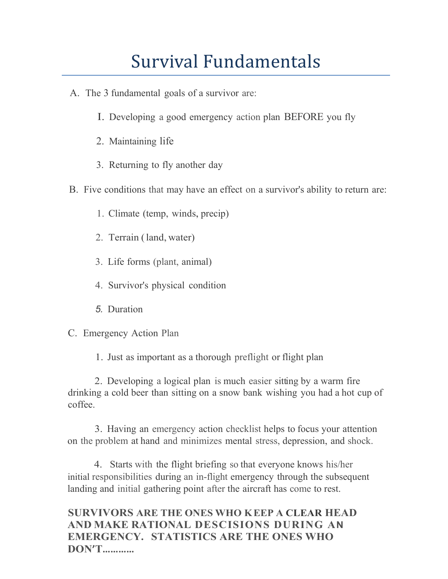## Survival Fundamentals

- A. The 3 fundamental goals of a survivor are:
	- I. Developing a good emergency action plan BEFORE you fly
	- 2. Maintaining life
	- 3. Returning to fly another day
- B. Five conditions that may have an effect on a survivor's ability to return are:
	- 1. Climate (temp, winds, precip)
	- 2. Terrain (land, water)
	- 3. Life forms (plant, animal)
	- 4. Survivor's physical condition
	- *5.* Duration

### C. Emergency Action Plan

1. Just as important as a thorough preflight or flight plan

2. Developing a logical plan is much easier sitting by a warm fire drinking a cold beer than sitting on a snow bank wishing you had a hot cup of coffee.

3. Having an emergency action checklist helps to focus your attention on the problem at hand and minimizes mental stress, depression, and shock.

4. Starts with the flight briefing so that everyone knows his/her initial responsibilities during an in-flight emergency through the subsequent landing and initial gathering point after the aircraft has come to rest.

**SURVIVORS ARE THE ONES WHO KEEP A CLEAR HEAD AND MAKE RATIONAL DESCISIONS DURING AN EMERGENCY. STATISTICS ARE THE ONES WHO DON'T…………**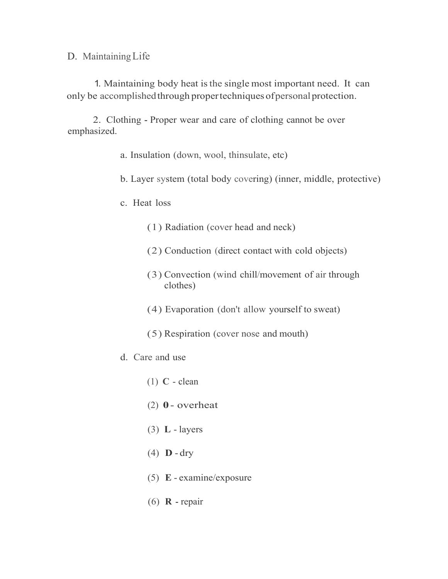D. MaintainingLife

1. Maintaining body heat isthe single most important need. It can only be accomplished through propertechniques of personal protection.

2. Clothing - Proper wear and care of clothing cannot be over emphasized.

- a. Insulation (down, wool, thinsulate, etc)
- b. Layer system (total body covering) (inner, middle, protective)
- c. Heat loss
	- (1) Radiation (cover head and neck)
	- (2) Conduction (direct contact with cold objects)
	- (3) Convection (wind chill/movement of air through clothes)
	- (4) Evaporation (don't allow yourself to sweat)
	- (5) Respiration (cover nose and mouth)
- d. Care and use
	- (1) **C** clean
	- (2) **0** overheat
	- (3) **L** layers
	- (4) **D** dry
	- (5) **E** examine/exposure
	- (6) **R** repair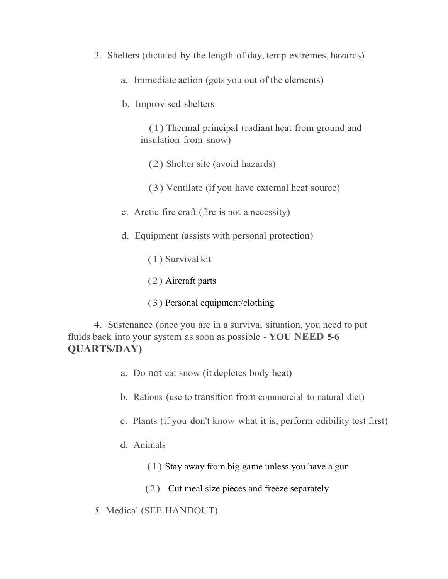- 3. Shelters (dictated by the length of day, temp extremes, hazards)
	- a. Immediate action (gets you out of the elements)
	- b. Improvised shelters

(1) Thermal principal (radiant heat from ground and insulation from snow)

(2) Shelter site (avoid hazards)

- (3) Ventilate (if you have external heat source)
- c. Arctic fire craft (fire is not a necessity)
- d. Equipment (assists with personal protection)
	- (1) Survival kit
	- (2) Aircraft parts
	- (3) Personal equipment/clothing

4. Sustenance (once you are in a survival situation, you need to put fluids back into your system as soon as possible - **YOU NEED 5-6 QUARTS/DAY)**

- a. Do not eat snow (it depletes body heat)
- b. Rations (use to transition from commercial to natural diet)
- c. Plants (if you don't know what it is, perform edibility test first)
- d. Animals
	- (1) Stay away from big game unless you have a gun
	- (2) Cut meal size pieces and freeze separately
- *5.* Medical (SEE HANDOUT)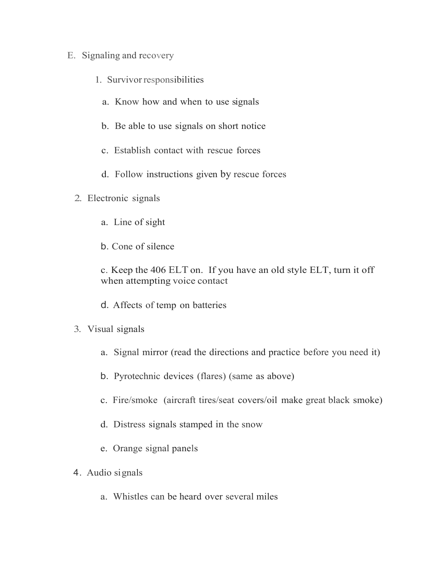#### E. Signaling and recovery

- 1. Survivor responsibilities
	- a. Know how and when to use signals
	- b. Be able to use signals on short notice
	- c. Establish contact with rescue forces
	- d. Follow instructions given by rescue forces
- 2. Electronic signals
	- a. Line of sight
	- b. Cone of silence

c. Keep the 406 ELT on. If you have an old style ELT, turn it off when attempting voice contact

- d. Affects of temp on batteries
- 3. Visual signals
	- a. Signal mirror (read the directions and practice before you need it)
	- b. Pyrotechnic devices (flares) (same as above)
	- c. Fire/smoke (aircraft tires/seat covers/oil make great black smoke)
	- d. Distress signals stamped in the snow
	- e. Orange signal panels
- 4. Audio signals
	- a. Whistles can be heard over several miles